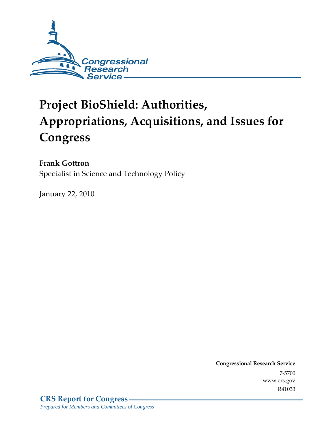

# **Project BioShield: Authorities, Appropriations, Acquisitions, and Issues for Congress**

## **Frank Gottron**

Specialist in Science and Technology Policy

January 22, 2010

**Congressional Research Service** 7-5700 www.crs.gov R41033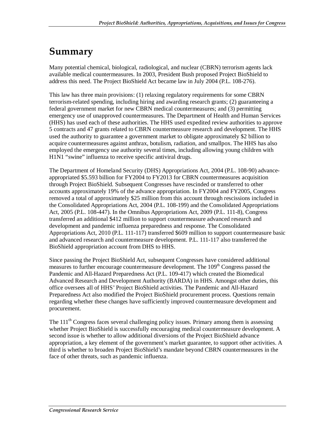## **Summary**

Many potential chemical, biological, radiological, and nuclear (CBRN) terrorism agents lack available medical countermeasures. In 2003, President Bush proposed Project BioShield to address this need. The Project BioShield Act became law in July 2004 (P.L. 108-276).

This law has three main provisions: (1) relaxing regulatory requirements for some CBRN terrorism-related spending, including hiring and awarding research grants; (2) guaranteeing a federal government market for new CBRN medical countermeasures; and (3) permitting emergency use of unapproved countermeasures. The Department of Health and Human Services (HHS) has used each of these authorities. The HHS used expedited review authorities to approve 5 contracts and 47 grants related to CBRN countermeasure research and development. The HHS used the authority to guarantee a government market to obligate approximately \$2 billion to acquire countermeasures against anthrax, botulism, radiation, and smallpox. The HHS has also employed the emergency use authority several times, including allowing young children with H1N1 "swine" influenza to receive specific antiviral drugs.

The Department of Homeland Security (DHS) Appropriations Act, 2004 (P.L. 108-90) advanceappropriated \$5.593 billion for FY2004 to FY2013 for CBRN countermeasures acquisition through Project BioShield. Subsequent Congresses have rescinded or transferred to other accounts approximately 19% of the advance appropriation. In FY2004 and FY2005, Congress removed a total of approximately \$25 million from this account through rescissions included in the Consolidated Appropriations Act, 2004 (P.L. 108-199) and the Consolidated Appropriations Act, 2005 (P.L. 108-447). In the Omnibus Appropriations Act, 2009 (P.L. 111-8), Congress transferred an additional \$412 million to support countermeasure advanced research and development and pandemic influenza preparedness and response. The Consolidated Appropriations Act, 2010 (P.L. 111-117) transferred \$609 million to support countermeasure basic and advanced research and countermeasure development. P.L. 111-117 also transferred the BioShield appropriation account from DHS to HHS.

Since passing the Project BioShield Act, subsequent Congresses have considered additional measures to further encourage countermeasure development. The 109<sup>th</sup> Congress passed the Pandemic and All-Hazard Preparedness Act (P.L. 109-417) which created the Biomedical Advanced Research and Development Authority (BARDA) in HHS. Amongst other duties, this office oversees all of HHS' Project BioShield activities. The Pandemic and All-Hazard Preparedness Act also modified the Project BioShield procurement process. Questions remain regarding whether these changes have sufficiently improved countermeasure development and procurement.

The 111<sup>th</sup> Congress faces several challenging policy issues. Primary among them is assessing whether Project BioShield is successfully encouraging medical countermeasure development. A second issue is whether to allow additional diversions of the Project BioShield advance appropriation, a key element of the government's market guarantee, to support other activities. A third is whether to broaden Project BioShield's mandate beyond CBRN countermeasures in the face of other threats, such as pandemic influenza.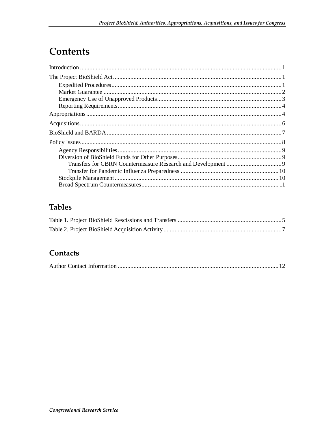## **Contents**

## **Tables**

### Contacts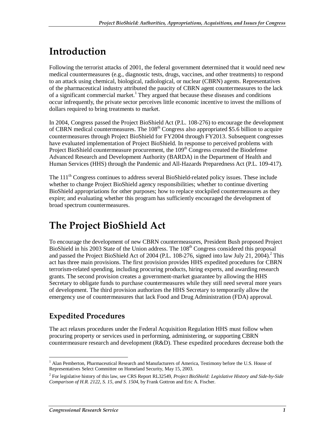## **Introduction**

Following the terrorist attacks of 2001, the federal government determined that it would need new medical countermeasures (e.g., diagnostic tests, drugs, vaccines, and other treatments) to respond to an attack using chemical, biological, radiological, or nuclear (CBRN) agents. Representatives of the pharmaceutical industry attributed the paucity of CBRN agent countermeasures to the lack of a significant commercial market.<sup>1</sup> They argued that because these diseases and conditions occur infrequently, the private sector perceives little economic incentive to invest the millions of dollars required to bring treatments to market.

In 2004, Congress passed the Project BioShield Act (P.L. 108-276) to encourage the development of CBRN medical countermeasures. The  $108<sup>th</sup>$  Congress also appropriated \$5.6 billion to acquire countermeasures through Project BioShield for FY2004 through FY2013. Subsequent congresses have evaluated implementation of Project BioShield. In response to perceived problems with Project BioShield countermeasure procurement, the  $109<sup>th</sup>$  Congress created the Biodefense Advanced Research and Development Authority (BARDA) in the Department of Health and Human Services (HHS) through the Pandemic and All-Hazards Preparedness Act (P.L. 109-417).

The 111<sup>th</sup> Congress continues to address several BioShield-related policy issues. These include whether to change Project BioShield agency responsibilities; whether to continue diverting BioShield appropriations for other purposes; how to replace stockpiled countermeasures as they expire; and evaluating whether this program has sufficiently encouraged the development of broad spectrum countermeasures.

## **The Project BioShield Act**

To encourage the development of new CBRN countermeasures, President Bush proposed Project BioShield in his 2003 State of the Union address. The 108<sup>th</sup> Congress considered this proposal and passed the Project BioShield Act of 2004 (P.L. 108-276, signed into law July 21, 2004).<sup>2</sup> This act has three main provisions. The first provision provides HHS expedited procedures for CBRN terrorism-related spending, including procuring products, hiring experts, and awarding research grants. The second provision creates a government-market guarantee by allowing the HHS Secretary to obligate funds to purchase countermeasures while they still need several more years of development. The third provision authorizes the HHS Secretary to temporarily allow the emergency use of countermeasures that lack Food and Drug Administration (FDA) approval.

## **Expedited Procedures**

The act relaxes procedures under the Federal Acquisition Regulation HHS must follow when procuring property or services used in performing, administering, or supporting CBRN countermeasure research and development (R&D). These expedited procedures decrease both the

<sup>-</sup><sup>1</sup> Alan Pemberton, Pharmaceutical Research and Manufacturers of America, Testimony before the U.S. House of Representatives Select Committee on Homeland Security, May 15, 2003.

<sup>2</sup> For legislative history of this law, see CRS Report RL32549, *Project BioShield: Legislative History and Side-by-Side Comparison of H.R. 2122, S. 15, and S. 1504*, by Frank Gottron and Eric A. Fischer.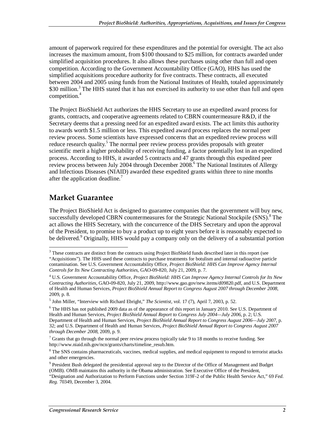amount of paperwork required for these expenditures and the potential for oversight. The act also increases the maximum amount, from \$100 thousand to \$25 million, for contracts awarded under simplified acquisition procedures. It also allows these purchases using other than full and open competition. According to the Government Accountability Office (GAO), HHS has used the simplified acquisitions procedure authority for five contracts. These contracts, all executed between 2004 and 2005 using funds from the National Institutes of Health, totaled approximately \$30 million.<sup>3</sup> The HHS stated that it has not exercised its authority to use other than full and open competition.<sup>4</sup>

The Project BioShield Act authorizes the HHS Secretary to use an expedited award process for grants, contracts, and cooperative agreements related to CBRN countermeasure R&D, if the Secretary deems that a pressing need for an expedited award exists. The act limits this authority to awards worth \$1.5 million or less. This expedited award process replaces the normal peer review process. Some scientists have expressed concerns that an expedited review process will reduce research quality.<sup>5</sup> The normal peer review process provides proposals with greater scientific merit a higher probability of receiving funding, a factor potentially lost in an expedited process. According to HHS, it awarded 5 contracts and 47 grants through this expedited peer review process between July 2004 through December 2008.<sup>6</sup> The National Institutes of Allergy and Infectious Diseases (NIAID) awarded these expedited grants within three to nine months after the application deadline.<sup>7</sup>

### **Market Guarantee**

The Project BioShield Act is designed to guarantee companies that the government will buy new, successfully developed CBRN countermeasures for the Strategic National Stockpile (SNS).<sup>8</sup> The act allows the HHS Secretary, with the concurrence of the DHS Secretary and upon the approval of the President, to promise to buy a product up to eight years before it is reasonably expected to be delivered.<sup>9</sup> Originally, HHS would pay a company only on the delivery of a substantial portion

<sup>-</sup><sup>3</sup> These contracts are distinct from the contracts using Project BioShield funds described later in this report (see "Acquisitions"). The HHS used these contracts to purchase treatments for botulism and internal radioactive particle contamination. See U.S. Government Accountability Office, *Project BioShield: HHS Can Improve Agency Internal Controls for Its New Contracting Authorities*, GAO-09-820, July 21, 2009, p. 7.

<sup>4</sup> U.S. Government Accountability Office, *Project BioShield: HHS Can Improve Agency Internal Controls for Its New Contracting Authorities*, GAO-09-820, July 21, 2009, http://www.gao.gov/new.items/d09820.pdf, and U.S. Department of Health and Human Services, *Project BioShield Annual Report to Congress August 2007 through December 2008*, 2009, p. 8.

<sup>5</sup> John Miller, "Interview with Richard Ebright," *The Scientist*, vol. 17 (7), April 7, 2003, p. 52.

<sup>&</sup>lt;sup>6</sup> The HHS has not published 2009 data as of the appearance of this report in January 2010. See U.S. Department of Health and Human Services, *Project BioShield Annual Report to Congress July 2004—July 2006*, p. 2; U.S. Department of Health and Human Services, *Project BioShield Annual Report to Congress August 2006—July 2007*, p. 32; and U.S. Department of Health and Human Services, *Project BioShield Annual Report to Congress August 2007 through December 2008*, 2009, p. 9.

 $7$  Grants that go through the normal peer review process typically take 9 to 18 months to receive funding. See http://www.niaid.nih.gov/ncn/grants/charts/timeline\_resub.htm.

<sup>&</sup>lt;sup>8</sup> The SNS contains pharmaceuticals, vaccines, medical supplies, and medical equipment to respond to terrorist attacks and other emergencies.

<sup>&</sup>lt;sup>9</sup> President Bush delegated the presidential approval step to the Director of the Office of Management and Budget (OMB). OMB maintains this authority in the Obama administration. See Executive Office of the President,

<sup>&</sup>quot;Designation and Authorization to Perform Functions under Section 319F-2 of the Public Health Service Act," 69 *Fed. Reg.* 70349, December 3, 2004.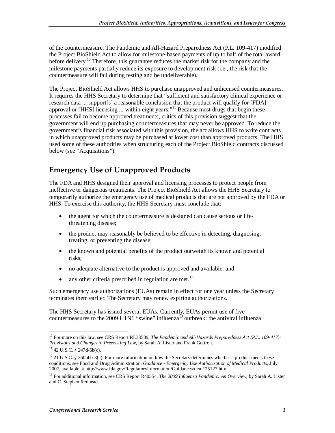of the countermeasure. The Pandemic and All-Hazard Preparedness Act (P.L. 109-417) modified the Project BioShield Act to allow for milestone-based payments of up to half of the total award before delivery.<sup>10</sup> Therefore, this guarantee reduces the market risk for the company and the milestone payments partially reduce its exposure to development risk (i.e., the risk that the countermeasure will fail during testing and be undeliverable).

The Project BioShield Act allows HHS to purchase unapproved and unlicensed countermeasures. It requires the HHS Secretary to determine that "sufficient and satisfactory clinical experience or research data ... support[s] a reasonable conclusion that the product will qualify for [FDA] approval or [HHS] licensing ... within eight years."<sup>11</sup> Because most drugs that begin these processes fail to become approved treatments, critics of this provision suggest that the government will end up purchasing countermeasures that may never be approved. To reduce the government's financial risk associated with this provision, the act allows HHS to write contracts in which unapproved products may be purchased at lower cost than approved products. The HHS used some of these authorities when structuring each of the Project BioShield contracts discussed below (see "Acquisitions").

### **Emergency Use of Unapproved Products**

The FDA and HHS designed their approval and licensing processes to protect people from ineffective or dangerous treatments. The Project BioShield Act allows the HHS Secretary to temporarily authorize the emergency use of medical products that are not approved by the FDA or HHS. To exercise this authority, the HHS Secretary must conclude that:

- the agent for which the countermeasure is designed can cause serious or lifethreatening disease;
- the product may reasonably be believed to be effective in detecting, diagnosing, treating, or preventing the disease;
- the known and potential benefits of the product outweigh its known and potential risks;
- no adequate alternative to the product is approved and available; and
- any other criteria prescribed in regulation are met.<sup>12</sup>

Such emergency use authorizations (EUAs) remain in effect for one year unless the Secretary terminates them earlier. The Secretary may renew expiring authorizations.

The HHS Secretary has issued several EUAs. Currently, EUAs permit use of five countermeasures to the 2009 H1N1 "swine" influenza<sup>13</sup> outbreak: the antiviral influenza

<sup>10</sup> For more on this law, see CRS Report RL33589, *The Pandemic and All-Hazards Preparedness Act (P.L. 109-417): Provisions and Changes to Preexisting Law*, by Sarah A. Lister and Frank Gottron. <sup>11</sup> 42 U.S.C. § 247d-6b(c).

 $12$  21 U.S.C. § 360bbb-3(c). For more information on how the Secretary determines whether a product meets these conditions, see Food and Drug Administration, *Guidance - Emergency Use Authorization of Medical Products*, July 2007, available at http://www.fda.gov/RegulatoryInformation/Guidances/ucm125127.htm.

<sup>13</sup> For additional information, see CRS Report R40554, *The 2009 Influenza Pandemic: An Overview*, by Sarah A. Lister and C. Stephen Redhead.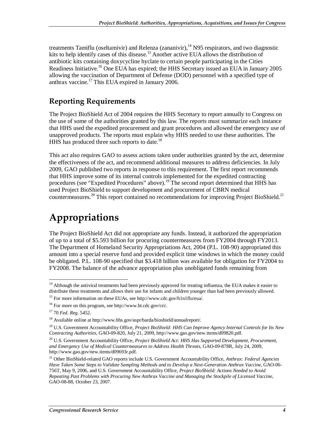treatments Tamiflu (oseltamivir) and Relenza (zananivir),  $14$  N95 respirators, and two diagnostic kits to help identify cases of this disease.<sup>15</sup> Another active EUA allows the distribution of antibiotic kits containing doxycycline hyclate to certain people participating in the Cities Readiness Initiative.<sup>16</sup> One EUA has expired; the HHS Secretary issued an EUA in January 2005 allowing the vaccination of Department of Defense (DOD) personnel with a specified type of anthrax vaccine.<sup>17</sup> This EUA expired in January 2006.

### **Reporting Requirements**

The Project BioShield Act of 2004 requires the HHS Secretary to report annually to Congress on the use of some of the authorities granted by this law. The reports must summarize each instance that HHS used the expedited procurement and grant procedures and allowed the emergency use of unapproved products. The reports must explain why HHS needed to use these authorities. The HHS has produced three such reports to date.<sup>18</sup>

This act also requires GAO to assess actions taken under authorities granted by the act, determine the effectiveness of the act, and recommend additional measures to address deficiencies. In July 2009, GAO published two reports in response to this requirement. The first report recommends that HHS improve some of its internal controls implemented for the expedited contracting procedures (see "Expedited Procedures" above).<sup>19</sup> The second report determined that HHS has used Project BioShield to support development and procurement of CBRN medical countermeasures.<sup>20</sup> This report contained no recommendations for improving Project BioShield.<sup>21</sup>

## **Appropriations**

The Project BioShield Act did not appropriate any funds. Instead, it authorized the appropriation of up to a total of \$5.593 billion for procuring countermeasures from FY2004 through FY2013. The Department of Homeland Security Appropriations Act, 2004 (P.L. 108-90) appropriated this amount into a special reserve fund and provided explicit time windows in which the money could be obligated. P.L. 108-90 specified that \$3.418 billion was available for obligation for FY2004 to FY2008. The balance of the advance appropriation plus unobligated funds remaining from

<sup>-</sup><sup>14</sup> Although the antiviral treatments had been previously approved for treating influenza, the EUA makes it easier to distribute these treatments and allows their use for infants and children younger than had been previously allowed.

<sup>&</sup>lt;sup>15</sup> For more information on these EUAs, see http://www.cdc.gov/h1n1flu/eua/.

<sup>16</sup> For more on this program, see http://www.bt.cdc.gov/cri/.

<sup>17 70</sup> *Fed. Reg.* 5452.

<sup>18</sup> Available online at http://www.hhs.gov/aspr/barda/bioshield/annualreport/.

<sup>19</sup> U.S. Government Accountability Office, *Project BioShield: HHS Can Improve Agency Internal Controls for Its New Contracting Authorities*, GAO-09-820, July 21, 2009, http://www.gao.gov/new.items/d09820.pdf.

<sup>&</sup>lt;sup>20</sup> U.S. Government Accountability Office, *Project BioShield Act: HHS Has Supported Development, Procurement, and Emergency Use of Medical Countermeasures to Address Health Threats*, GAO-09-878R, July 24, 2009, http://www.gao.gov/new.items/d09693r.pdf.

<sup>21</sup> Other BioShield-related GAO reports include U.S. Government Accountability Office, *Anthrax: Federal Agencies Have Taken Some Steps to Validate Sampling Methods and to Develop a Next-Generation Anthrax Vaccine*, GAO-06- 756T, May 9, 2006, and U.S. Government Accountability Office, *Project BioShield: Actions Needed to Avoid Repeating Past Problems with Procuring New Anthrax Vaccine and Managing the Stockpile of Licensed Vaccine*, GAO-08-88, October 23, 2007.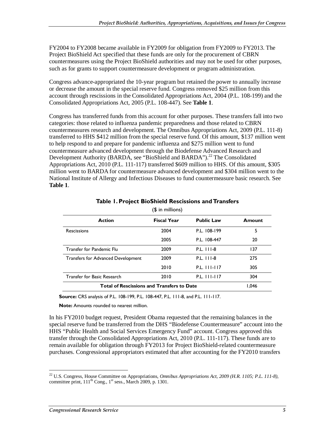FY2004 to FY2008 became available in FY2009 for obligation from FY2009 to FY2013. The Project BioShield Act specified that these funds are only for the procurement of CBRN countermeasures using the Project BioShield authorities and may not be used for other purposes, such as for grants to support countermeasure development or program administration.

Congress advance-appropriated the 10-year program but retained the power to annually increase or decrease the amount in the special reserve fund. Congress removed \$25 million from this account through rescissions in the Consolidated Appropriations Act, 2004 (P.L. 108-199) and the Consolidated Appropriations Act, 2005 (P.L. 108-447). See **Table 1**.

Congress has transferred funds from this account for other purposes. These transfers fall into two categories: those related to influenza pandemic preparedness and those related to CBRN countermeasures research and development. The Omnibus Appropriations Act, 2009 (P.L. 111-8) transferred to HHS \$412 million from the special reserve fund. Of this amount, \$137 million went to help respond to and prepare for pandemic influenza and \$275 million went to fund countermeasure advanced development through the Biodefense Advanced Research and Development Authority (BARDA, see "BioShield and BARDA").<sup>22</sup> The Consolidated Appropriations Act, 2010 (P.L. 111-117) transferred \$609 million to HHS. Of this amount, \$305 million went to BARDA for countermeasure advanced development and \$304 million went to the National Institute of Allergy and Infectious Diseases to fund countermeasure basic research. See **Table 1**.

| , דייייייייייייי                                  |                   |        |  |  |  |  |
|---------------------------------------------------|-------------------|--------|--|--|--|--|
| <b>Fiscal Year</b>                                | <b>Public Law</b> | Amount |  |  |  |  |
| 2004                                              | P.L. 108-199      | 5      |  |  |  |  |
| 2005                                              | P.L. 108-447      | 20     |  |  |  |  |
| 2009                                              | P.L. 111-8        | 137    |  |  |  |  |
| 2009                                              | $P.L.$ $111-8$    | 275    |  |  |  |  |
| 2010                                              | P.L. 111-117      | 305    |  |  |  |  |
| 2010                                              | P.L. 111-117      | 304    |  |  |  |  |
| <b>Total of Rescissions and Transfers to Date</b> |                   |        |  |  |  |  |
|                                                   |                   |        |  |  |  |  |

#### **Table 1. Project BioShield Rescissions and Transfers**   $(4 \text{ in } \text{million})$

**Source:** CRS analysis of P.L. 108-199, P.L. 108-447, P.L. 111-8, and P.L. 111-117.

**Note:** Amounts rounded to nearest million.

In his FY2010 budget request, President Obama requested that the remaining balances in the special reserve fund be transferred from the DHS "Biodefense Countermeasure" account into the HHS "Public Health and Social Services Emergency Fund" account. Congress approved this transfer through the Consolidated Appropriations Act, 2010 (P.L. 111-117). These funds are to remain available for obligation through FY2013 for Project BioShield-related countermeasure purchases. Congressional appropriators estimated that after accounting for the FY2010 transfers

<sup>22</sup> U.S. Congress, House Committee on Appropriations, *Omnibus Appropriations Act, 2009 (H.R. 1105; P.L. 111-8)*, committee print,  $111<sup>th</sup>$  Cong.,  $1<sup>st</sup>$  sess., March 2009, p. 1301.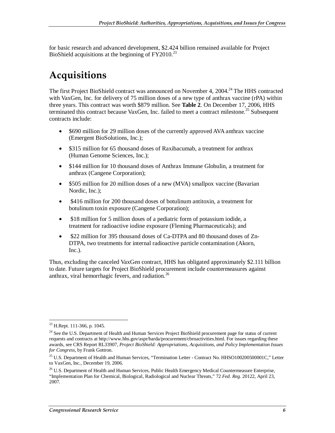for basic research and advanced development, \$2.424 billion remained available for Project BioShield acquisitions at the beginning of  $FY2010.<sup>23</sup>$ 

## **Acquisitions**

The first Project BioShield contract was announced on November 4, 2004.<sup>24</sup> The HHS contracted with VaxGen, Inc. for delivery of 75 million doses of a new type of anthrax vaccine (rPA) within three years. This contract was worth \$879 million. See **Table 2**. On December 17, 2006, HHS terminated this contract because VaxGen, Inc. failed to meet a contract milestone.<sup>25</sup> Subsequent contracts include:

- \$690 million for 29 million doses of the currently approved AVA anthrax vaccine (Emergent BioSolutions, Inc.);
- \$315 million for 65 thousand doses of Raxibacumab, a treatment for anthrax (Human Genome Sciences, Inc.);
- \$144 million for 10 thousand doses of Anthrax Immune Globulin, a treatment for anthrax (Cangene Corporation);
- \$505 million for 20 million doses of a new (MVA) smallpox vaccine (Bavarian Nordic, Inc.);
- \$416 million for 200 thousand doses of botulinum antitoxin, a treatment for botulinum toxin exposure (Cangene Corporation);
- \$18 million for 5 million doses of a pediatric form of potassium iodide, a treatment for radioactive iodine exposure (Fleming Pharmaceuticals); and
- \$22 million for 395 thousand doses of Ca-DTPA and 80 thousand doses of Zn-DTPA, two treatments for internal radioactive particle contamination (Akorn, Inc.).

Thus, excluding the canceled VaxGen contract, HHS has obligated approximately \$2.111 billion to date. Future targets for Project BioShield procurement include countermeasures against anthrax, viral hemorrhagic fevers, and radiation.<sup>26</sup>

<sup>-</sup><sup>23</sup> H.Rept. 111-366, p. 1045.

<sup>&</sup>lt;sup>24</sup> See the U.S. Department of Health and Human Services Project BioShield procurement page for status of current requests and contracts at http://www.hhs.gov/aspr/barda/procurement/cbrnactivities.html. For issues regarding these awards, see CRS Report RL33907, *Project BioShield: Appropriations, Acquisitions, and Policy Implementation Issues for Congress*, by Frank Gottron.

<sup>&</sup>lt;sup>25</sup> U.S. Department of Health and Human Services, "Termination Letter - Contract No. HHSO100200500001C," Letter to VaxGen, Inc., December 19, 2006.

<sup>&</sup>lt;sup>26</sup> U.S. Department of Health and Human Services, Public Health Emergency Medical Countermeasure Enterprise, "Implementation Plan for Chemical, Biological, Radiological and Nuclear Threats," 72 *Fed. Reg.* 20122, April 23, 2007.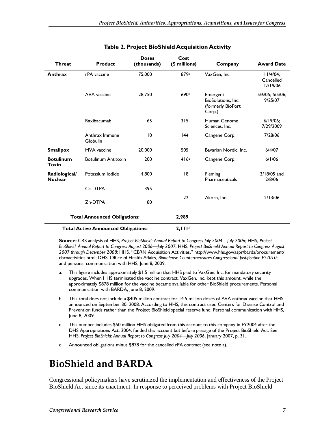| <b>Threat</b>                       | <b>Product</b>                             | <b>Doses</b><br>(thousands) | Cost<br>(\$ millions) | Company                                                       | <b>Award Date</b>                    |
|-------------------------------------|--------------------------------------------|-----------------------------|-----------------------|---------------------------------------------------------------|--------------------------------------|
| Anthrax                             | rPA vaccine                                | 75,000                      | 879a                  | VaxGen, Inc.                                                  | $11/4/04$ ;<br>Cancelled<br>12/19/06 |
|                                     | AVA vaccine                                | 28,750                      | 690b                  | Emergent<br>BioSolutions, Inc.<br>(formerly BioPort<br>Corp.) | 5/6/05; 5/5/06;<br>9/25/07           |
|                                     | Raxibacumab                                | 65                          | 315                   | Human Genome<br>Sciences, Inc.                                | $6/19/06$ ;<br>7/29/2009             |
|                                     | Anthrax Immune<br>Globulin                 | 10                          | 44                    | Cangene Corp.                                                 | 7/28/06                              |
| <b>Smallpox</b>                     | MVA vaccine                                | 20,000                      | 505                   | Bavarian Nordic, Inc.                                         | 6/4/07                               |
| <b>Botulinum</b><br><b>Toxin</b>    | <b>Botulinum Antitoxin</b>                 | 200                         | 416c                  | Cangene Corp.                                                 | 6/1/06                               |
| Radiological/<br><b>Nuclear</b>     | Potassium Iodide                           | 4,800                       | 8                     | Fleming<br>Pharmaceuticals                                    | $3/18/05$ and<br>2/8/06              |
|                                     | C <sub>a</sub> -DTPA                       | 395                         |                       |                                                               |                                      |
|                                     | Zn-DTPA                                    | 80                          | 22                    | Akorn, Inc.                                                   | 2/13/06                              |
| <b>Total Announced Obligations:</b> |                                            |                             | 2,989                 |                                                               |                                      |
|                                     | <b>Total Active Announced Obligations:</b> |                             | 2.111 <sup>d</sup>    |                                                               |                                      |

#### **Table 2. Project BioShield Acquisition Activity**

**Source:** CRS analysis of HHS, *Project BioShield: Annual Report to Congress July 2004—July 2006*; HHS, *Project BioShield: Annual Report to Congress August 2006—July 2007*; HHS, *Project BioShield Annual Report to Congress August 2007 through December 2008;* HHS, "CBRN Acquisition Activities," http://www.hhs.gov/aspr/barda/procurement/ cbrnactivities.html; DHS, Office of Health Affairs*, Biodefense Countermeasures Congressional Justification FY2010*; and personal communication with HHS, June 8, 2009.

- a. This figure includes approximately \$1.5 million that HHS paid to VaxGen, Inc. for mandatory security upgrades. When HHS terminated the vaccine contract, VaxGen, Inc. kept this amount, while the approximately \$878 million for the vaccine became available for other BioShield procurements. Personal communication with BARDA, June 8, 2009.
- b. This total does not include a \$405 million contract for 14.5 million doses of AVA anthrax vaccine that HHS announced on September 30, 2008. According to HHS, this contract used Centers for Disease Control and Prevention funds rather than the Project BioShield special reserve fund. Personal communication with HHS, June 8, 2009.
- c. This number includes \$50 million HHS obligated from this account to this company in FY2004 after the DHS Appropriations Act, 2004, funded this account but before passage of the Project BioShield Act. See HHS, *Project BioShield: Annual Report to Congress July 2004—July 2006*, January 2007, p. 31.
- d. Announced obligations minus \$878 for the cancelled rPA contract (see note a).

## **BioShield and BARDA**

Congressional policymakers have scrutinized the implementation and effectiveness of the Project BioShield Act since its enactment. In response to perceived problems with Project BioShield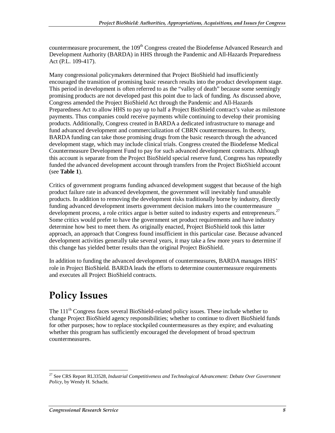countermeasure procurement, the 109<sup>th</sup> Congress created the Biodefense Advanced Research and Development Authority (BARDA) in HHS through the Pandemic and All-Hazards Preparedness Act (P.L. 109-417).

Many congressional policymakers determined that Project BioShield had insufficiently encouraged the transition of promising basic research results into the product development stage. This period in development is often referred to as the "valley of death" because some seemingly promising products are not developed past this point due to lack of funding. As discussed above, Congress amended the Project BioShield Act through the Pandemic and All-Hazards Preparedness Act to allow HHS to pay up to half a Project BioShield contract's value as milestone payments. Thus companies could receive payments while continuing to develop their promising products. Additionally, Congress created in BARDA a dedicated infrastructure to manage and fund advanced development and commercialization of CBRN countermeasures. In theory, BARDA funding can take those promising drugs from the basic research through the advanced development stage, which may include clinical trials. Congress created the Biodefense Medical Countermeasure Development Fund to pay for such advanced development contracts. Although this account is separate from the Project BioShield special reserve fund, Congress has repeatedly funded the advanced development account through transfers from the Project BioShield account (see **Table 1**).

Critics of government programs funding advanced development suggest that because of the high product failure rate in advanced development, the government will inevitably fund unusable products. In addition to removing the development risks traditionally borne by industry, directly funding advanced development inserts government decision makers into the countermeasure development process, a role critics argue is better suited to industry experts and entrepreneurs.<sup>27</sup> Some critics would prefer to have the government set product requirements and have industry determine how best to meet them. As originally enacted, Project BioShield took this latter approach, an approach that Congress found insufficient in this particular case. Because advanced development activities generally take several years, it may take a few more years to determine if this change has yielded better results than the original Project BioShield.

In addition to funding the advanced development of countermeasures, BARDA manages HHS' role in Project BioShield. BARDA leads the efforts to determine countermeasure requirements and executes all Project BioShield contracts.

## **Policy Issues**

The  $111<sup>th</sup>$  Congress faces several BioShield-related policy issues. These include whether to change Project BioShield agency responsibilities; whether to continue to divert BioShield funds for other purposes; how to replace stockpiled countermeasures as they expire; and evaluating whether this program has sufficiently encouraged the development of broad spectrum countermeasures.

<sup>27</sup> See CRS Report RL33528, *Industrial Competitiveness and Technological Advancement: Debate Over Government Policy*, by Wendy H. Schacht.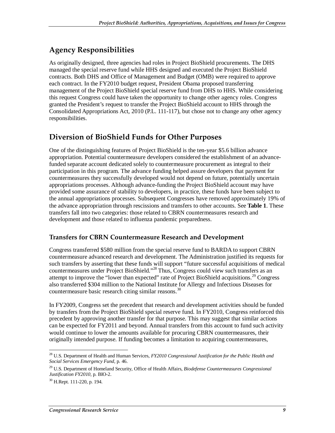## **Agency Responsibilities**

As originally designed, three agencies had roles in Project BioShield procurements. The DHS managed the special reserve fund while HHS designed and executed the Project BioShield contracts. Both DHS and Office of Management and Budget (OMB) were required to approve each contract. In the FY2010 budget request, President Obama proposed transferring management of the Project BioShield special reserve fund from DHS to HHS. While considering this request Congress could have taken the opportunity to change other agency roles. Congress granted the President's request to transfer the Project BioShield account to HHS through the Consolidated Appropriations Act, 2010 (P.L. 111-117), but chose not to change any other agency responsibilities.

### **Diversion of BioShield Funds for Other Purposes**

One of the distinguishing features of Project BioShield is the ten-year \$5.6 billion advance appropriation. Potential countermeasure developers considered the establishment of an advancefunded separate account dedicated solely to countermeasure procurement as integral to their participation in this program. The advance funding helped assure developers that payment for countermeasures they successfully developed would not depend on future, potentially uncertain appropriations processes. Although advance-funding the Project BioShield account may have provided some assurance of stability to developers, in practice, these funds have been subject to the annual appropriations processes. Subsequent Congresses have removed approximately 19% of the advance appropriation through rescissions and transfers to other accounts. See **Table 1**. These transfers fall into two categories: those related to CBRN countermeasures research and development and those related to influenza pandemic preparedness.

#### **Transfers for CBRN Countermeasure Research and Development**

Congress transferred \$580 million from the special reserve fund to BARDA to support CBRN countermeasure advanced research and development. The Administration justified its requests for such transfers by asserting that these funds will support "future successful acquisitions of medical countermeasures under Project BioShield."28 Thus, Congress could view such transfers as an attempt to improve the "lower than expected" rate of Project BioShield acquisitions.<sup>29</sup> Congress also transferred \$304 million to the National Institute for Allergy and Infectious Diseases for countermeasure basic research citing similar reasons.<sup>30</sup>

In FY2009, Congress set the precedent that research and development activities should be funded by transfers from the Project BioShield special reserve fund. In FY2010, Congress reinforced this precedent by approving another transfer for that purpose. This may suggest that similar actions can be expected for FY2011 and beyond. Annual transfers from this account to fund such activity would continue to lower the amounts available for procuring CBRN countermeasures, their originally intended purpose. If funding becomes a limitation to acquiring countermeasures,

<sup>-</sup>28 U.S. Department of Health and Human Services, *FY2010 Congressional Justification for the Public Health and Social Services Emergency Fund*, p. 46.

<sup>29</sup> U.S. Department of Homeland Security, Office of Health Affairs, *Biodefense Countermeasures Congressional Justification FY2010*, p. BIO-2.

<sup>30</sup> H.Rept. 111-220, p. 194.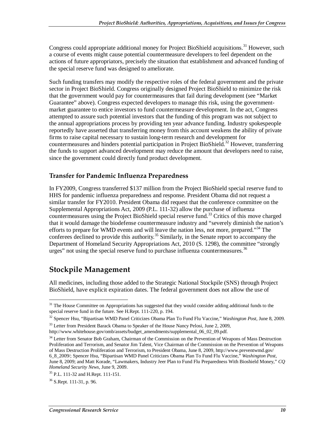Congress could appropriate additional money for Project BioShield acquisitions.<sup>31</sup> However, such a course of events might cause potential countermeasure developers to feel dependent on the actions of future appropriators, precisely the situation that establishment and advanced funding of the special reserve fund was designed to ameliorate.

Such funding transfers may modify the respective roles of the federal government and the private sector in Project BioShield. Congress originally designed Project BioShield to minimize the risk that the government would pay for countermeasures that fail during development (see "Market Guarantee" above). Congress expected developers to manage this risk, using the governmentmarket guarantee to entice investors to fund countermeasure development. In the act, Congress attempted to assure such potential investors that the funding of this program was not subject to the annual appropriations process by providing ten year advance funding. Industry spokespeople reportedly have asserted that transferring money from this account weakens the ability of private firms to raise capital necessary to sustain long-term research and development for countermeasures and hinders potential participation in Project BioShield.<sup>32</sup> However, transferring the funds to support advanced development may reduce the amount that developers need to raise, since the government could directly fund product development.

#### **Transfer for Pandemic Influenza Preparedness**

In FY2009, Congress transferred \$137 million from the Project BioShield special reserve fund to HHS for pandemic influenza preparedness and response. President Obama did not request a similar transfer for FY2010. President Obama did request that the conference committee on the Supplemental Appropriations Act, 2009 (P.L. 111-32) allow the purchase of influenza countermeasures using the Project BioShield special reserve fund.<sup>33</sup> Critics of this move charged that it would damage the biodefense countermeasure industry and "severely diminish the nation's efforts to prepare for WMD events and will leave the nation less, not more, prepared."<sup>34</sup> The conferees declined to provide this authority.<sup>35</sup> Similarly, in the Senate report to accompany the Department of Homeland Security Appropriations Act, 2010 (S. 1298), the committee "strongly urges" not using the special reserve fund to purchase influenza countermeasures.<sup>36</sup>

### **Stockpile Management**

All medicines, including those added to the Strategic National Stockpile (SNS) through Project BioShield, have explicit expiration dates. The federal government does not allow the use of

<sup>34</sup> Letter from Senator Bob Graham, Chairman of the Commission on the Prevention of Weapons of Mass Destruction Proliferation and Terrorism, and Senator Jim Talent, Vice Chairman of the Commission on the Prevention of Weapons of Mass Destruction Proliferation and Terrorism, to President Obama, June 8, 2009, http://www.preventwmd.gov/ 6\_8\_2009/; Spencer Hsu, "Bipartisan WMD Panel Criticizes Obama Plan To Fund Flu Vaccine," *Washington Post*, June 8, 2009; and Matt Korade, "Lawmakers, Industry Jeer Plan to Fund Flu Preparedness With Bioshield Money," *CQ Homeland Security News, June 9, 2009.*<br><sup>35</sup> P.L. 111-32 and H.Rept. 111-151.

<sup>&</sup>lt;sup>31</sup> The House Committee on Appropriations has suggested that they would consider adding additional funds to the special reserve fund in the future. See H.Rept. 111-220, p. 194.

<sup>32</sup> Spencer Hsu, "Bipartisan WMD Panel Criticizes Obama Plan To Fund Flu Vaccine," *Washington Post*, June 8, 2009.

<sup>&</sup>lt;sup>33</sup> Letter from President Barack Obama to Speaker of the House Nancy Pelosi, June 2, 2009, http://www.whitehouse.gov/omb/assets/budget\_amendments/supplemental\_06\_02\_09.pdf.

 $36$  S.Rept. 111-31, p. 96.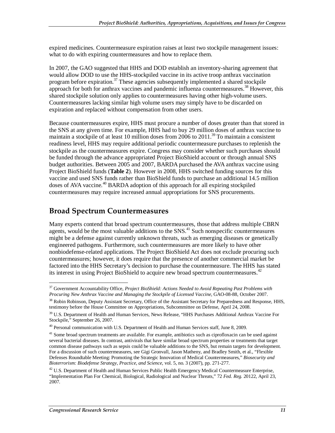expired medicines. Countermeasure expiration raises at least two stockpile management issues: what to do with expiring countermeasures and how to replace them.

In 2007, the GAO suggested that HHS and DOD establish an inventory-sharing agreement that would allow DOD to use the HHS-stockpiled vaccine in its active troop anthrax vaccination program before expiration.<sup>37</sup> These agencies subsequently implemented a shared stockpile approach for both for anthrax vaccines and pandemic influenza countermeasures.<sup>38</sup> However, this shared stockpile solution only applies to countermeasures having other high-volume users. Countermeasures lacking similar high volume users may simply have to be discarded on expiration and replaced without compensation from other users.

Because countermeasures expire, HHS must procure a number of doses greater than that stored in the SNS at any given time. For example, HHS had to buy 29 million doses of anthrax vaccine to maintain a stockpile of at least 10 million doses from 2006 to 2011.<sup>39</sup> To maintain a consistent readiness level, HHS may require additional periodic countermeasure purchases to replenish the stockpile as the countermeasures expire. Congress may consider whether such purchases should be funded through the advance appropriated Project BioShield account or through annual SNS budget authorities. Between 2005 and 2007, BARDA purchased the AVA anthrax vaccine using Project BioShield funds (**Table 2**). However in 2008, HHS switched funding sources for this vaccine and used SNS funds rather than BioShield funds to purchase an additional 14.5 million doses of AVA vaccine.<sup>40</sup> BARDA adoption of this approach for all expiring stockpiled countermeasures may require increased annual appropriations for SNS procurements.

### **Broad Spectrum Countermeasures**

Many experts contend that broad spectrum countermeasures, those that address multiple CBRN agents, would be the most valuable additions to the SNS.<sup>41</sup> Such nonspecific countermeasures might be a defense against currently unknown threats, such as emerging diseases or genetically engineered pathogens. Furthermore, such countermeasures are more likely to have other nonbiodefense-related applications. The Project BioShield Act does not exclude procuring such countermeasures; however, it does require that the presence of another commercial market be factored into the HHS Secretary's decision to purchase the countermeasure. The HHS has stated its interest in using Project BioShield to acquire new broad spectrum countermeasures.<sup>42</sup>

<sup>-</sup>37 Government Accountability Office, *Project BioShield: Actions Needed to Avoid Repeating Past Problems with Procuring New Anthrax Vaccine and Managing the Stockpile of Licensed Vaccine,* GAO-08-88, October 2007.

<sup>&</sup>lt;sup>38</sup> Robin Robinson, Deputy Assistant Secretary, Office of the Assistant Secretary for Preparedness and Response, HHS, testimony before the House Committee on Appropriations, Subcommittee on Defense, April 24, 2008.

<sup>&</sup>lt;sup>39</sup> U.S. Department of Health and Human Services, News Release, "HHS Purchases Additional Anthrax Vaccine For Stockpile," September 26, 2007.

<sup>&</sup>lt;sup>40</sup> Personal communication with U.S. Department of Health and Human Services staff, June 8, 2009.

<sup>&</sup>lt;sup>41</sup> Some broad spectrum treatments are available. For example, antibiotics such as ciprofloxacin can be used against several bacterial diseases. In contrast, antivirals that have similar broad spectrum properties or treatments that target common disease pathways such as sepsis could be valuable additions to the SNS, but remain targets for development. For a discussion of such countermeasures, see Gigi Gronvall, Jason Matheny, and Bradley Smith, et al., "Flexible Defenses Roundtable Meeting: Promoting the Strategic Innovation of Medical Countermeasures," *Biosecurity and Bioterrorism: Biodefense Strategy, Practice, and Science*, vol. 5, no. 3 (2007), pp. 271-277.

<sup>&</sup>lt;sup>42</sup> U.S. Department of Health and Human Services Public Health Emergency Medical Countermeasure Enterprise, "Implementation Plan For Chemical, Biological, Radiological and Nuclear Threats," 72 *Fed. Reg.* 20122, April 23, 2007.